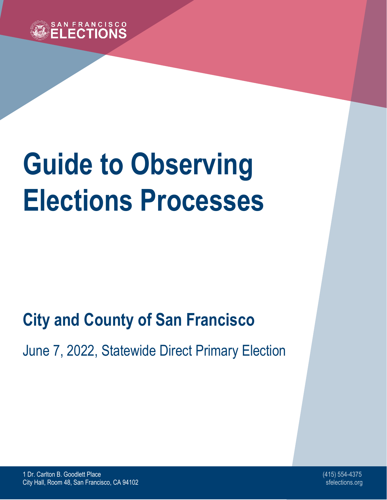

# **Guide to Observing Elections Processes**

# **City and County of San Francisco**

June 7, 2022, Statewide Direct Primary Election

1 Dr. Carlton B. Goodlett Place (415) 554-4375 City Hall, Room 48, San Francisco, CA 94102 sfelections.org states and states and states of stelections.org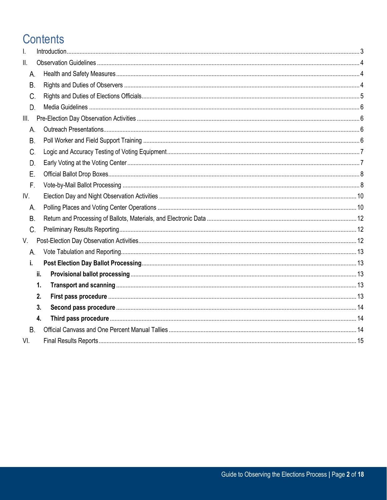# **Contents**

| I.        |                  |  |
|-----------|------------------|--|
| II.       |                  |  |
| А.        |                  |  |
| <b>B.</b> |                  |  |
| C.        |                  |  |
| D.        |                  |  |
| III.      |                  |  |
| А.        |                  |  |
| Β.        |                  |  |
| C.        |                  |  |
| D.        |                  |  |
| Ε.        |                  |  |
| F.        |                  |  |
| IV.       |                  |  |
| А.        |                  |  |
| <b>B.</b> |                  |  |
| C.        |                  |  |
| V.        |                  |  |
| А.        |                  |  |
| i.        |                  |  |
|           | ii.              |  |
|           | 1.               |  |
|           | 2.               |  |
|           | 3.               |  |
|           | $\overline{4}$ . |  |
| <b>B.</b> |                  |  |
| VI.       |                  |  |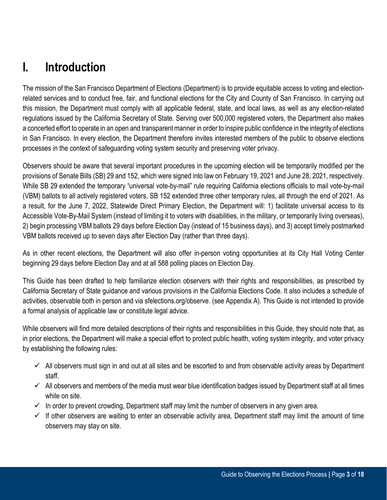# <span id="page-2-0"></span>**I. Introduction**

The mission of the San Francisco Department of Elections (Department) is to provide equitable access to voting and electionrelated services and to conduct free, fair, and functional elections for the City and County of San Francisco. In carrying out this mission, the Department must comply with all applicable federal, state, and local laws, as well as any election-related regulations issued by the California Secretary of State. Serving over 500,000 registered voters, the Department also makes a concerted effort to operate in an open and transparent manner in order to inspire public confidence in the integrity of elections in San Francisco. In every election, the Department therefore invites interested members of the public to observe elections processes in the context of safeguarding voting system security and preserving voter privacy.

Observers should be aware that several important procedures in the upcoming election will be temporarily modified per the provisions of Senate Bills (SB) 29 and 152, which were signed into law on February 19, 2021 and June 28, 2021, respectively. While SB 29 extended the temporary "universal vote-by-mail" rule requiring California elections officials to mail vote-by-mail (VBM) ballots to all actively registered voters, SB 152 extended three other temporary rules, all through the end of 2021. As a result, for the June 7, 2022, Statewide Direct Primary Election, the Department will: 1) facilitate universal access to its Accessible Vote-By-Mail System (instead of limiting it to voters with disabilities, in the military, or temporarily living overseas), 2) begin processing VBM ballots 29 days before Election Day (instead of 15 business days), and 3) accept timely postmarked VBM ballots received up to seven days after Election Day (rather than three days).

As in other recent elections, the Department will also offer in-person voting opportunities at its City Hall Voting Center beginning 29 days before Election Day and at all 588 polling places on Election Day.

This Guide has been drafted to help familiarize election observers with their rights and responsibilities, as prescribed by California Secretary of State guidance and various provisions in the California Elections Code. It also includes a schedule of activities, observable both in person and via sfelections.org/observe. (see Appendix A). This Guide is not intended to provide a formal analysis of applicable law or constitute legal advice.

While observers will find more detailed descriptions of their rights and responsibilities in this Guide, they should note that, as in prior elections, the Department will make a special effort to protect public health, voting system integrity, and voter privacy by establishing the following rules:

- $\checkmark$  All observers must sign in and out at all sites and be escorted to and from observable activity areas by Department staff.
- $\checkmark$  All observers and members of the media must wear blue identification badges issued by Department staff at all times while on site.
- $\checkmark$  In order to prevent crowding, Department staff may limit the number of observers in any given area.
- $\checkmark$  If other observers are waiting to enter an observable activity area, Department staff may limit the amount of time observers may stay on site.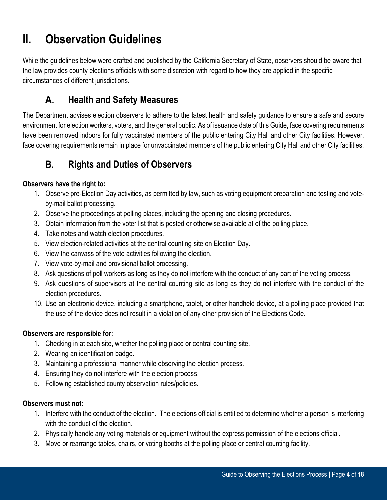# <span id="page-3-0"></span>**II. Observation Guidelines**

While the guidelines below were drafted and published by the California Secretary of State, observers should be aware that the law provides county elections officials with some discretion with regard to how they are applied in the specific circumstances of different jurisdictions.

### А. **Health and Safety Measures**

<span id="page-3-1"></span>The Department advises election observers to adhere to the latest health and safety guidance to ensure a safe and secure environment for election workers, voters, and the general public. As of issuance date of this Guide, face covering requirements have been removed indoors for fully vaccinated members of the public entering City Hall and other City facilities. However, face covering requirements remain in place for unvaccinated members of the public entering City Hall and other City facilities.

### **Rights and Duties of Observers B.**

# <span id="page-3-2"></span>**Observers have the right to:**

- 1. Observe pre-Election Day activities, as permitted by law, such as voting equipment preparation and testing and voteby-mail ballot processing.
- 2. Observe the proceedings at polling places, including the opening and closing procedures.
- 3. Obtain information from the voter list that is posted or otherwise available at of the polling place.
- 4. Take notes and watch election procedures.
- 5. View election-related activities at the central counting site on Election Day.
- 6. View the canvass of the vote activities following the election.
- 7. View vote-by-mail and provisional ballot processing.
- 8. Ask questions of poll workers as long as they do not interfere with the conduct of any part of the voting process.
- 9. Ask questions of supervisors at the central counting site as long as they do not interfere with the conduct of the election procedures.
- 10. Use an electronic device, including a smartphone, tablet, or other handheld device, at a polling place provided that the use of the device does not result in a violation of any other provision of the Elections Code.

# **Observers are responsible for:**

- 1. Checking in at each site, whether the polling place or central counting site.
- 2. Wearing an identification badge.
- 3. Maintaining a professional manner while observing the election process.
- 4. Ensuring they do not interfere with the election process.
- 5. Following established county observation rules/policies.

# **Observers must not:**

- 1. Interfere with the conduct of the election. The elections official is entitled to determine whether a person is interfering with the conduct of the election.
- 2. Physically handle any voting materials or equipment without the express permission of the elections official.
- 3. Move or rearrange tables, chairs, or voting booths at the polling place or central counting facility.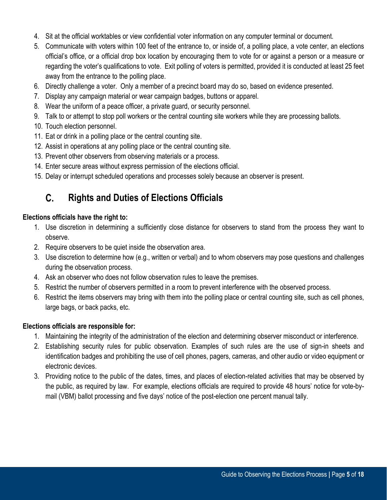- 4. Sit at the official worktables or view confidential voter information on any computer terminal or document.
- 5. Communicate with voters within 100 feet of the entrance to, or inside of, a polling place, a vote center, an elections official's office, or a official drop box location by encouraging them to vote for or against a person or a measure or regarding the voter's qualifications to vote. Exit polling of voters is permitted, provided it is conducted at least 25 feet away from the entrance to the polling place.
- 6. Directly challenge a voter. Only a member of a precinct board may do so, based on evidence presented.
- 7. Display any campaign material or wear campaign badges, buttons or apparel.
- 8. Wear the uniform of a peace officer, a private guard, or security personnel.
- 9. Talk to or attempt to stop poll workers or the central counting site workers while they are processing ballots.
- 10. Touch election personnel.
- 11. Eat or drink in a polling place or the central counting site.
- 12. Assist in operations at any polling place or the central counting site.
- 13. Prevent other observers from observing materials or a process.
- 14. Enter secure areas without express permission of the elections official.
- 15. Delay or interrupt scheduled operations and processes solely because an observer is present.

#### С. **Rights and Duties of Elections Officials**

### <span id="page-4-0"></span>**Elections officials have the right to:**

- 1. Use discretion in determining a sufficiently close distance for observers to stand from the process they want to observe.
- 2. Require observers to be quiet inside the observation area.
- 3. Use discretion to determine how (e.g., written or verbal) and to whom observers may pose questions and challenges during the observation process.
- 4. Ask an observer who does not follow observation rules to leave the premises.
- 5. Restrict the number of observers permitted in a room to prevent interference with the observed process.
- 6. Restrict the items observers may bring with them into the polling place or central counting site, such as cell phones, large bags, or back packs, etc.

### **Elections officials are responsible for:**

- 1. Maintaining the integrity of the administration of the election and determining observer misconduct or interference.
- 2. Establishing security rules for public observation. Examples of such rules are the use of sign-in sheets and identification badges and prohibiting the use of cell phones, pagers, cameras, and other audio or video equipment or electronic devices.
- 3. Providing notice to the public of the dates, times, and places of election-related activities that may be observed by the public, as required by law. For example, elections officials are required to provide 48 hours' notice for vote-bymail (VBM) ballot processing and five days' notice of the post-election one percent manual tally.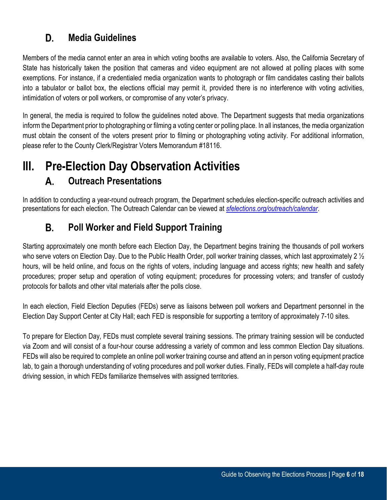#### **Media Guidelines** D.

<span id="page-5-0"></span>Members of the media cannot enter an area in which voting booths are available to voters. Also, the California Secretary of State has historically taken the position that cameras and video equipment are not allowed at polling places with some exemptions. For instance, if a credentialed media organization wants to photograph or film candidates casting their ballots into a tabulator or ballot box, the elections official may permit it, provided there is no interference with voting activities, intimidation of voters or poll workers, or compromise of any voter's privacy.

In general, the media is required to follow the guidelines noted above. The Department suggests that media organizations inform the Department prior to photographing or filming a voting center or polling place. In all instances, the media organization must obtain the consent of the voters present prior to filming or photographing voting activity. For additional information, please refer to the County Clerk/Registrar Voters Memorandum #18116.

# <span id="page-5-2"></span><span id="page-5-1"></span>**III. Pre-Election Day Observation Activities**

### **Outreach Presentations**  A.

In addition to conducting a year-round outreach program, the Department schedules election-specific outreach activities and presentations for each election. The Outreach Calendar can be viewed at *[sfelections.org/outreach/calendar](https://sfelections.org/outreach/calendar.html)*.

### В. **Poll Worker and Field Support Training**

<span id="page-5-3"></span>Starting approximately one month before each Election Day, the Department begins training the thousands of poll workers who serve voters on Election Day. Due to the Public Health Order, poll worker training classes, which last approximately 2  $\frac{1}{2}$ hours, will be held online, and focus on the rights of voters, including language and access rights; new health and safety procedures; proper setup and operation of voting equipment; procedures for processing voters; and transfer of custody protocols for ballots and other vital materials after the polls close.

In each election, Field Election Deputies (FEDs) serve as liaisons between poll workers and Department personnel in the Election Day Support Center at City Hall; each FED is responsible for supporting a territory of approximately 7-10 sites.

To prepare for Election Day, FEDs must complete several training sessions. The primary training session will be conducted via Zoom and will consist of a four-hour course addressing a variety of common and less common Election Day situations. FEDs will also be required to complete an online poll worker training course and attend an in person voting equipment practice lab, to gain a thorough understanding of voting procedures and poll worker duties. Finally, FEDs will complete a half-day route driving session, in which FEDs familiarize themselves with assigned territories.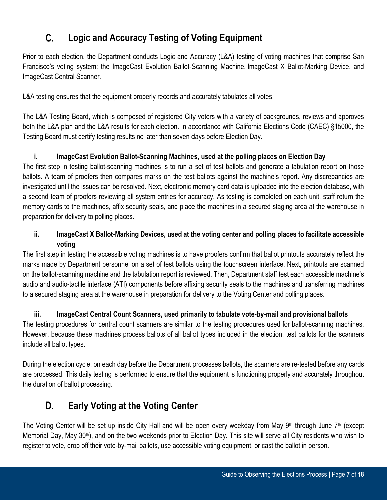#### **Logic and Accuracy Testing of Voting Equipment**   $\mathsf{C}$ .

<span id="page-6-0"></span>Prior to each election, the Department conducts Logic and Accuracy (L&A) testing of voting machines that comprise San Francisco's voting system: the ImageCast Evolution Ballot-Scanning Machine, ImageCast X Ballot-Marking Device, and ImageCast Central Scanner.

L&A testing ensures that the equipment properly records and accurately tabulates all votes.

The L&A Testing Board, which is composed of registered City voters with a variety of backgrounds, reviews and approves both the L&A plan and the L&A results for each election. In accordance with California Elections Code (CAEC) §15000, the Testing Board must certify testing results no later than seven days before Election Day.

# **i. ImageCast Evolution Ballot-Scanning Machines, used at the polling places on Election Day**

The first step in testing ballot-scanning machines is to run a set of test ballots and generate a tabulation report on those ballots. A team of proofers then compares marks on the test ballots against the machine's report. Any discrepancies are investigated until the issues can be resolved. Next, electronic memory card data is uploaded into the election database, with a second team of proofers reviewing all system entries for accuracy. As testing is completed on each unit, staff return the memory cards to the machines, affix security seals, and place the machines in a secured staging area at the warehouse in preparation for delivery to polling places.

# **ii. ImageCast X Ballot-Marking Devices, used at the voting center and polling places to facilitate accessible voting**

The first step in testing the accessible voting machines is to have proofers confirm that ballot printouts accurately reflect the marks made by Department personnel on a set of test ballots using the touchscreen interface. Next, printouts are scanned on the ballot-scanning machine and the tabulation report is reviewed. Then, Department staff test each accessible machine's audio and audio-tactile interface (ATI) components before affixing security seals to the machines and transferring machines to a secured staging area at the warehouse in preparation for delivery to the Voting Center and polling places.

**iii. ImageCast Central Count Scanners, used primarily to tabulate vote-by-mail and provisional ballots** The testing procedures for central count scanners are similar to the testing procedures used for ballot-scanning machines. However, because these machines process ballots of all ballot types included in the election, test ballots for the scanners include all ballot types.

During the election cycle, on each day before the Department processes ballots, the scanners are re-tested before any cards are processed. This daily testing is performed to ensure that the equipment is functioning properly and accurately throughout the duration of ballot processing.

### **Early Voting at the Voting Center**  D.

<span id="page-6-1"></span>The Voting Center will be set up inside City Hall and will be open every weekday from May  $9<sup>th</sup>$  through June  $7<sup>th</sup>$  (except Memorial Day, May 30<sup>th</sup>), and on the two weekends prior to Election Day. This site will serve all City residents who wish to register to vote, drop off their vote-by-mail ballots, use accessible voting equipment, or cast the ballot in person.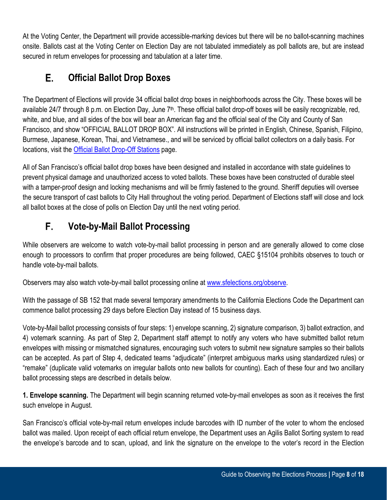At the Voting Center, the Department will provide accessible-marking devices but there will be no ballot-scanning machines onsite. Ballots cast at the Voting Center on Election Day are not tabulated immediately as poll ballots are, but are instead secured in return envelopes for processing and tabulation at a later time.

### Е. **Official Ballot Drop Boxes**

<span id="page-7-0"></span>The Department of Elections will provide 34 official ballot drop boxes in neighborhoods across the City. These boxes will be available 24/7 through 8 p.m. on Election Day, June 7<sup>th</sup>. These official ballot drop-off boxes will be easily recognizable, red, white, and blue, and all sides of the box will bear an American flag and the official seal of the City and County of San Francisco, and show "OFFICIAL BALLOT DROP BOX". All instructions will be printed in English, Chinese, Spanish, Filipino, Burmese, Japanese, Korean, Thai, and Vietnamese., and will be serviced by official ballot collectors on a daily basis. For locations, visit the [Official Ballot Drop-Off Stations](https://sfelections.sfgov.org/expanded-ballot-drop-services) page.

All of San Francisco's official ballot drop boxes have been designed and installed in accordance with state guidelines to prevent physical damage and unauthorized access to voted ballots. These boxes have been constructed of durable steel with a tamper-proof design and locking mechanisms and will be firmly fastened to the ground. Sheriff deputies will oversee the secure transport of cast ballots to City Hall throughout the voting period. Department of Elections staff will close and lock all ballot boxes at the close of polls on Election Day until the next voting period.

### F. **Vote-by-Mail Ballot Processing**

<span id="page-7-1"></span>While observers are welcome to watch vote-by-mail ballot processing in person and are generally allowed to come close enough to processors to confirm that proper procedures are being followed, CAEC §15104 prohibits observes to touch or handle vote-by-mail ballots.

Observers may also watch vote-by-mail ballot processing online at [www.sfelections.org/observe.](http://www.sfelections.org/observe)

With the passage of SB 152 that made several temporary amendments to the California Elections Code the Department can commence ballot processing 29 days before Election Day instead of 15 business days.

Vote-by-Mail ballot processing consists of four steps: 1) envelope scanning, 2) signature comparison, 3) ballot extraction, and 4) votemark scanning. As part of Step 2, Department staff attempt to notify any voters who have submitted ballot return envelopes with missing or mismatched signatures, encouraging such voters to submit new signature samples so their ballots can be accepted. As part of Step 4, dedicated teams "adjudicate" (interpret ambiguous marks using standardized rules) or "remake" (duplicate valid votemarks on irregular ballots onto new ballots for counting). Each of these four and two ancillary ballot processing steps are described in details below.

**1. Envelope scanning.** The Department will begin scanning returned vote-by-mail envelopes as soon as it receives the first such envelope in August.

San Francisco's official vote-by-mail return envelopes include barcodes with ID number of the voter to whom the enclosed ballot was mailed. Upon receipt of each official return envelope, the Department uses an Agilis Ballot Sorting system to read the envelope's barcode and to scan, upload, and link the signature on the envelope to the voter's record in the Election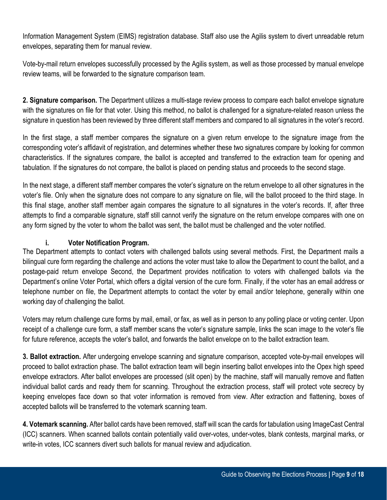Information Management System (EIMS) registration database. Staff also use the Agilis system to divert unreadable return envelopes, separating them for manual review.

Vote-by-mail return envelopes successfully processed by the Agilis system, as well as those processed by manual envelope review teams, will be forwarded to the signature comparison team.

**2. Signature comparison.** The Department utilizes a multi-stage review process to compare each ballot envelope signature with the signatures on file for that voter. Using this method, no ballot is challenged for a signature-related reason unless the signature in question has been reviewed by three different staff members and compared to all signatures in the voter's record.

In the first stage, a staff member compares the signature on a given return envelope to the signature image from the corresponding voter's affidavit of registration, and determines whether these two signatures compare by looking for common characteristics. If the signatures compare, the ballot is accepted and transferred to the extraction team for opening and tabulation. If the signatures do not compare, the ballot is placed on pending status and proceeds to the second stage.

In the next stage, a different staff member compares the voter's signature on the return envelope to all other signatures in the voter's file. Only when the signature does not compare to any signature on file, will the ballot proceed to the third stage. In this final stage, another staff member again compares the signature to all signatures in the voter's records. If, after three attempts to find a comparable signature, staff still cannot verify the signature on the return envelope compares with one on any form signed by the voter to whom the ballot was sent, the ballot must be challenged and the voter notified.

# **i. Voter Notification Program.**

The Department attempts to contact voters with challenged ballots using several methods. First, the Department mails a bilingual cure form regarding the challenge and actions the voter must take to allow the Department to count the ballot, and a postage-paid return envelope Second, the Department provides notification to voters with challenged ballots via the Department's online Voter Portal, which offers a digital version of the cure form. Finally, if the voter has an email address or telephone number on file, the Department attempts to contact the voter by email and/or telephone, generally within one working day of challenging the ballot.

Voters may return challenge cure forms by mail, email, or fax, as well as in person to any polling place or voting center. Upon receipt of a challenge cure form, a staff member scans the voter's signature sample, links the scan image to the voter's file for future reference, accepts the voter's ballot, and forwards the ballot envelope on to the ballot extraction team.

**3. Ballot extraction.** After undergoing envelope scanning and signature comparison, accepted vote-by-mail envelopes will proceed to ballot extraction phase. The ballot extraction team will begin inserting ballot envelopes into the Opex high speed envelope extractors. After ballot envelopes are processed (slit open) by the machine, staff will manually remove and flatten individual ballot cards and ready them for scanning. Throughout the extraction process, staff will protect vote secrecy by keeping envelopes face down so that voter information is removed from view. After extraction and flattening, boxes of accepted ballots will be transferred to the votemark scanning team.

**4. Votemark scanning.** After ballot cards have been removed, staff will scan the cards for tabulation using ImageCast Central (ICC) scanners. When scanned ballots contain potentially valid over-votes, under-votes, blank contests, marginal marks, or write-in votes, ICC scanners divert such ballots for manual review and adjudication.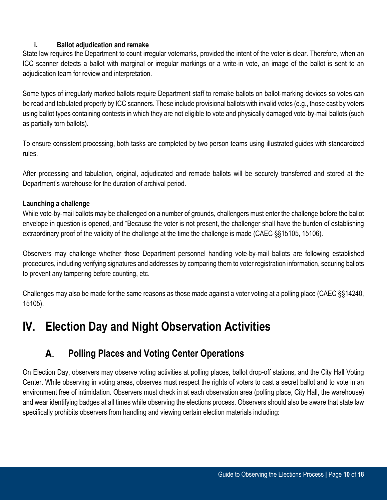### **i. Ballot adjudication and remake**

State law requires the Department to count irregular votemarks, provided the intent of the voter is clear. Therefore, when an ICC scanner detects a ballot with marginal or irregular markings or a write-in vote, an image of the ballot is sent to an adjudication team for review and interpretation.

Some types of irregularly marked ballots require Department staff to remake ballots on ballot-marking devices so votes can be read and tabulated properly by ICC scanners. These include provisional ballots with invalid votes (e.g., those cast by voters using ballot types containing contests in which they are not eligible to vote and physically damaged vote-by-mail ballots (such as partially torn ballots).

To ensure consistent processing, both tasks are completed by two person teams using illustrated guides with standardized rules.

After processing and tabulation, original, adjudicated and remade ballots will be securely transferred and stored at the Department's warehouse for the duration of archival period.

### **Launching a challenge**

While vote-by-mail ballots may be challenged on a number of grounds, challengers must enter the challenge before the ballot envelope in question is opened, and "Because the voter is not present, the challenger shall have the burden of establishing extraordinary proof of the validity of the challenge at the time the challenge is made (CAEC §§15105, 15106).

Observers may challenge whether those Department personnel handling vote-by-mail ballots are following established procedures, including verifying signatures and addresses by comparing them to voter registration information, securing ballots to prevent any tampering before counting, etc.

Challenges may also be made for the same reasons as those made against a voter voting at a polling place (CAEC §§14240, 15105).

# <span id="page-9-0"></span>**IV. Election Day and Night Observation Activities**

#### **Polling Places and Voting Center Operations**  А.

<span id="page-9-1"></span>On Election Day, observers may observe voting activities at polling places, ballot drop-off stations, and the City Hall Voting Center. While observing in voting areas, observes must respect the rights of voters to cast a secret ballot and to vote in an environment free of intimidation. Observers must check in at each observation area (polling place, City Hall, the warehouse) and wear identifying badges at all times while observing the elections process. Observers should also be aware that state law specifically prohibits observers from handling and viewing certain election materials including: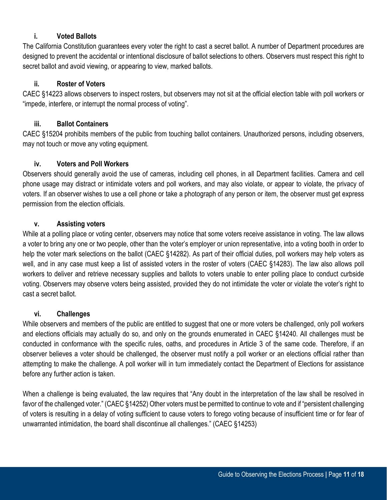### **i. Voted Ballots**

The California Constitution guarantees every voter the right to cast a secret ballot. A number of Department procedures are designed to prevent the accidental or intentional disclosure of ballot selections to others. Observers must respect this right to secret ballot and avoid viewing, or appearing to view, marked ballots.

### **ii. Roster of Voters**

CAEC §14223 allows observers to inspect rosters, but observers may not sit at the official election table with poll workers or "impede, interfere, or interrupt the normal process of voting".

### **iii. Ballot Containers**

CAEC §15204 prohibits members of the public from touching ballot containers. Unauthorized persons, including observers, may not touch or move any voting equipment.

### **iv. Voters and Poll Workers**

Observers should generally avoid the use of cameras, including cell phones, in all Department facilities. Camera and cell phone usage may distract or intimidate voters and poll workers, and may also violate, or appear to violate, the privacy of voters. If an observer wishes to use a cell phone or take a photograph of any person or item, the observer must get express permission from the election officials.

### **v. Assisting voters**

While at a polling place or voting center, observers may notice that some voters receive assistance in voting. The law allows a voter to bring any one or two people, other than the voter's employer or union representative, into a voting booth in order to help the voter mark selections on the ballot (CAEC §14282). As part of their official duties, poll workers may help voters as well, and in any case must keep a list of assisted voters in the roster of voters (CAEC §14283). The law also allows poll workers to deliver and retrieve necessary supplies and ballots to voters unable to enter polling place to conduct curbside voting. Observers may observe voters being assisted, provided they do not intimidate the voter or violate the voter's right to cast a secret ballot.

### **vi. Challenges**

While observers and members of the public are entitled to suggest that one or more voters be challenged, only poll workers and elections officials may actually do so, and only on the grounds enumerated in CAEC §14240. All challenges must be conducted in conformance with the specific rules, oaths, and procedures in Article 3 of the same code. Therefore, if an observer believes a voter should be challenged, the observer must notify a poll worker or an elections official rather than attempting to make the challenge. A poll worker will in turn immediately contact the Department of Elections for assistance before any further action is taken.

When a challenge is being evaluated, the law requires that "Any doubt in the interpretation of the law shall be resolved in favor of the challenged voter." (CAEC §14252) Other voters must be permitted to continue to vote and if "persistent challenging of voters is resulting in a delay of voting sufficient to cause voters to forego voting because of insufficient time or for fear of unwarranted intimidation, the board shall discontinue all challenges." (CAEC §14253)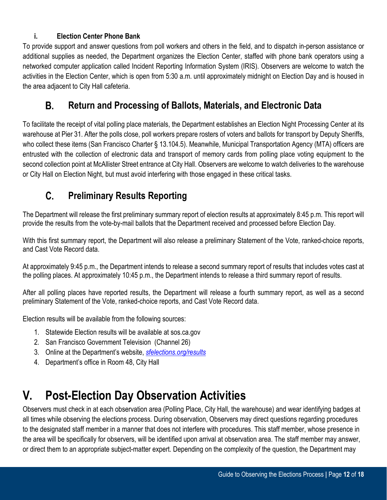# **i. Election Center Phone Bank**

To provide support and answer questions from poll workers and others in the field, and to dispatch in-person assistance or additional supplies as needed, the Department organizes the Election Center, staffed with phone bank operators using a networked computer application called Incident Reporting Information System (IRIS). Observers are welcome to watch the activities in the Election Center, which is open from 5:30 a.m. until approximately midnight on Election Day and is housed in the area adjacent to City Hall cafeteria.

#### В. **Return and Processing of Ballots, Materials, and Electronic Data**

<span id="page-11-0"></span>To facilitate the receipt of vital polling place materials, the Department establishes an Election Night Processing Center at its warehouse at Pier 31. After the polls close, poll workers prepare rosters of voters and ballots for transport by Deputy Sheriffs, who collect these items (San Francisco Charter § 13.104.5). Meanwhile, Municipal Transportation Agency (MTA) officers are entrusted with the collection of electronic data and transport of memory cards from polling place voting equipment to the second collection point at McAllister Street entrance at City Hall. Observers are welcome to watch deliveries to the warehouse or City Hall on Election Night, but must avoid interfering with those engaged in these critical tasks.

#### **Preliminary Results Reporting**   $\mathsf{C}$ .

<span id="page-11-1"></span>The Department will release the first preliminary summary report of election results at approximately 8:45 p.m. This report will provide the results from the vote-by-mail ballots that the Department received and processed before Election Day.

With this first summary report, the Department will also release a preliminary Statement of the Vote, ranked-choice reports, and Cast Vote Record data.

At approximately 9:45 p.m., the Department intends to release a second summary report of results that includes votes cast at the polling places. At approximately 10:45 p.m., the Department intends to release a third summary report of results.

After all polling places have reported results, the Department will release a fourth summary report, as well as a second preliminary Statement of the Vote, ranked-choice reports, and Cast Vote Record data.

Election results will be available from the following sources:

- 1. Statewide Election results will be available at sos.ca.gov
- 2. San Francisco Government Television (Channel 26)
- 3. Online at the Department's website, *[sfelections.org/results](https://sfelections.sfgov.org/results)*
- 4. Department's office in Room 48, City Hall

# <span id="page-11-2"></span>**V. Post-Election Day Observation Activities**

Observers must check in at each observation area (Polling Place, City Hall, the warehouse) and wear identifying badges at all times while observing the elections process. During observation, Observers may direct questions regarding procedures to the designated staff member in a manner that does not interfere with procedures. This staff member, whose presence in the area will be specifically for observers, will be identified upon arrival at observation area. The staff member may answer, or direct them to an appropriate subject-matter expert. Depending on the complexity of the question, the Department may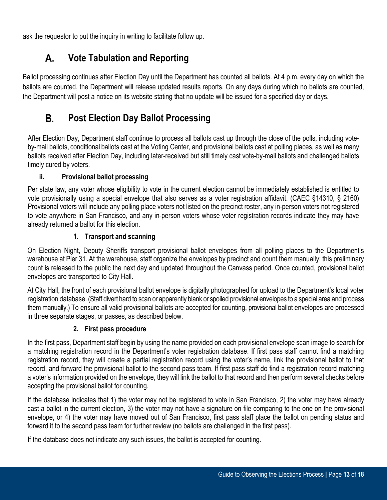<span id="page-12-0"></span>ask the requestor to put the inquiry in writing to facilitate follow up.

#### А. **Vote Tabulation and Reporting**

Ballot processing continues after Election Day until the Department has counted all ballots. At 4 p.m. every day on which the ballots are counted, the Department will release updated results reports. On any days during which no ballots are counted, the Department will post a notice on its website stating that no update will be issued for a specified day or days.

# <span id="page-12-1"></span>**i. Post Election Day Ballot Processing**

After Election Day, Department staff continue to process all ballots cast up through the close of the polls, including voteby-mail ballots, conditional ballots cast at the Voting Center, and provisional ballots cast at polling places, as well as many ballots received after Election Day, including later-received but still timely cast vote-by-mail ballots and challenged ballots timely cured by voters.

# **ii. Provisional ballot processing**

<span id="page-12-2"></span>Per state law, any voter whose eligibility to vote in the current election cannot be immediately established is entitled to vote provisionally using a special envelope that also serves as a voter registration affidavit. (CAEC §14310, § 2160) Provisional voters will include any polling place voters not listed on the precinct roster, any in-person voters not registered to vote anywhere in San Francisco, and any in-person voters whose voter registration records indicate they may have already returned a ballot for this election.

# **1. Transport and scanning**

<span id="page-12-3"></span>On Election Night, Deputy Sheriffs transport provisional ballot envelopes from all polling places to the Department's warehouse at Pier 31. At the warehouse, staff organize the envelopes by precinct and count them manually; this preliminary count is released to the public the next day and updated throughout the Canvass period. Once counted, provisional ballot envelopes are transported to City Hall.

At City Hall, the front of each provisional ballot envelope is digitally photographed for upload to the Department's local voter registration database. (Staff divert hard to scan or apparently blank or spoiled provisional envelopes to a special area and process them manually.) To ensure all valid provisional ballots are accepted for counting, provisional ballot envelopes are processed in three separate stages, or passes, as described below.

# **2. First pass procedure**

<span id="page-12-4"></span>In the first pass, Department staff begin by using the name provided on each provisional envelope scan image to search for a matching registration record in the Department's voter registration database. If first pass staff cannot find a matching registration record, they will create a partial registration record using the voter's name, link the provisional ballot to that record, and forward the provisional ballot to the second pass team. If first pass staff do find a registration record matching a voter's information provided on the envelope, they will link the ballot to that record and then perform several checks before accepting the provisional ballot for counting.

If the database indicates that 1) the voter may not be registered to vote in San Francisco, 2) the voter may have already cast a ballot in the current election, 3) the voter may not have a signature on file comparing to the one on the provisional envelope, or 4) the voter may have moved out of San Francisco, first pass staff place the ballot on pending status and forward it to the second pass team for further review (no ballots are challenged in the first pass).

If the database does not indicate any such issues, the ballot is accepted for counting.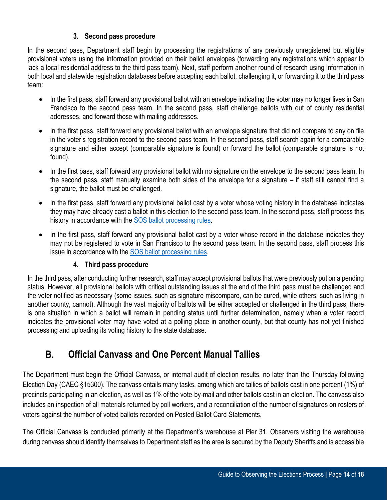### **3. Second pass procedure**

<span id="page-13-0"></span>In the second pass, Department staff begin by processing the registrations of any previously unregistered but eligible provisional voters using the information provided on their ballot envelopes (forwarding any registrations which appear to lack a local residential address to the third pass team). Next, staff perform another round of research using information in both local and statewide registration databases before accepting each ballot, challenging it, or forwarding it to the third pass team:

- In the first pass, staff forward any provisional ballot with an envelope indicating the voter may no longer lives in San Francisco to the second pass team. In the second pass, staff challenge ballots with out of county residential addresses, and forward those with mailing addresses.
- In the first pass, staff forward any provisional ballot with an envelope signature that did not compare to any on file in the voter's registration record to the second pass team. In the second pass, staff search again for a comparable signature and either accept (comparable signature is found) or forward the ballot (comparable signature is not found).
- In the first pass, staff forward any provisional ballot with no signature on the envelope to the second pass team. In the second pass, staff manually examine both sides of the envelope for a signature – if staff still cannot find a signature, the ballot must be challenged.
- In the first pass, staff forward any provisional ballot cast by a voter whose voting history in the database indicates they may have already cast a ballot in this election to the second pass team. In the second pass, staff process this history in accordance with the [SOS ballot processing rules.](https://elections.cdn.sos.ca.gov/ccrov/2021/july/21101cik.pdf)
- In the first pass, staff forward any provisional ballot cast by a voter whose record in the database indicates they may not be registered to vote in San Francisco to the second pass team. In the second pass, staff process this issue in accordance with the [SOS ballot processing rules.](https://elections.cdn.sos.ca.gov/ccrov/2021/july/21101cik.pdf)

# **4. Third pass procedure**

<span id="page-13-1"></span>In the third pass, after conducting further research, staff may accept provisional ballots that were previously put on a pending status. However, all provisional ballots with critical outstanding issues at the end of the third pass must be challenged and the voter notified as necessary (some issues, such as signature miscompare, can be cured, while others, such as living in another county, cannot). Although the vast majority of ballots will be either accepted or challenged in the third pass, there is one situation in which a ballot will remain in pending status until further determination, namely when a voter record indicates the provisional voter may have voted at a polling place in another county, but that county has not yet finished processing and uploading its voting history to the state database.

#### **B. Official Canvass and One Percent Manual Tallies**

<span id="page-13-2"></span>The Department must begin the Official Canvass, or internal audit of election results, no later than the Thursday following Election Day (CAEC §15300). The canvass entails many tasks, among which are tallies of ballots cast in one percent (1%) of precincts participating in an election, as well as 1% of the vote-by-mail and other ballots cast in an election. The canvass also includes an inspection of all materials returned by poll workers, and a reconciliation of the number of signatures on rosters of voters against the number of voted ballots recorded on Posted Ballot Card Statements.

The Official Canvass is conducted primarily at the Department's warehouse at Pier 31. Observers visiting the warehouse during canvass should identify themselves to Department staff as the area is secured by the Deputy Sheriffs and is accessible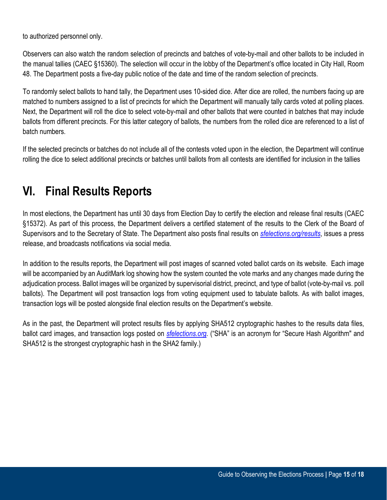to authorized personnel only.

Observers can also watch the random selection of precincts and batches of vote-by-mail and other ballots to be included in the manual tallies (CAEC §15360). The selection will occur in the lobby of the Department's office located in City Hall, Room 48. The Department posts a five-day public notice of the date and time of the random selection of precincts.

To randomly select ballots to hand tally, the Department uses 10-sided dice. After dice are rolled, the numbers facing up are matched to numbers assigned to a list of precincts for which the Department will manually tally cards voted at polling places. Next, the Department will roll the dice to select vote-by-mail and other ballots that were counted in batches that may include ballots from different precincts. For this latter category of ballots, the numbers from the rolled dice are referenced to a list of batch numbers.

If the selected precincts or batches do not include all of the contests voted upon in the election, the Department will continue rolling the dice to select additional precincts or batches until ballots from all contests are identified for inclusion in the tallies

# <span id="page-14-0"></span>**VI. Final Results Reports**

In most elections, the Department has until 30 days from Election Day to certify the election and release final results (CAEC §15372). As part of this process, the Department delivers a certified statement of the results to the Clerk of the Board of Supervisors and to the Secretary of State. The Department also posts final results on *[sfelections.org/results](https://sfelections.sfgov.org/results)*, issues a press release, and broadcasts notifications via social media.

In addition to the results reports, the Department will post images of scanned voted ballot cards on its website. Each image will be accompanied by an AuditMark log showing how the system counted the vote marks and any changes made during the adjudication process. Ballot images will be organized by supervisorial district, precinct, and type of ballot (vote-by-mail vs. poll ballots). The Department will post transaction logs from voting equipment used to tabulate ballots. As with ballot images, transaction logs will be posted alongside final election results on the Department's website.

As in the past, the Department will protect results files by applying SHA512 cryptographic hashes to the results data files, ballot card images, and transaction logs posted on *[sfelections.org.](https://sfelections.sfgov.org/)* ("SHA" is an acronym for "Secure Hash Algorithm" and SHA512 is the strongest cryptographic hash in the SHA2 family.)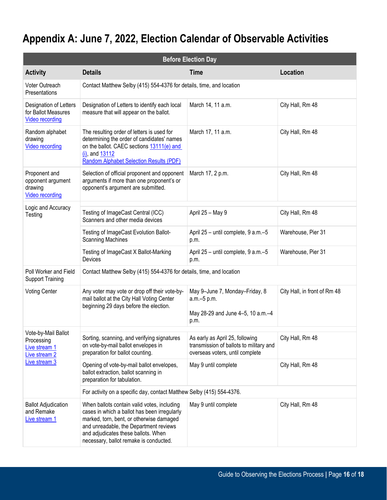# **Appendix A: June 7, 2022, Election Calendar of Observable Activities**

| <b>Before Election Day</b>                                              |                                                                                                                                                                                                                                                                    |                                                                                                               |                              |  |  |  |
|-------------------------------------------------------------------------|--------------------------------------------------------------------------------------------------------------------------------------------------------------------------------------------------------------------------------------------------------------------|---------------------------------------------------------------------------------------------------------------|------------------------------|--|--|--|
| <b>Activity</b>                                                         | <b>Details</b>                                                                                                                                                                                                                                                     | <b>Time</b>                                                                                                   | <b>Location</b>              |  |  |  |
| Voter Outreach<br>Presentations                                         | Contact Matthew Selby (415) 554-4376 for details, time, and location                                                                                                                                                                                               |                                                                                                               |                              |  |  |  |
| Designation of Letters<br>for Ballot Measures<br><b>Video recording</b> | Designation of Letters to identify each local<br>measure that will appear on the ballot.                                                                                                                                                                           | March 14, 11 a.m.                                                                                             | City Hall, Rm 48             |  |  |  |
| Random alphabet<br>drawing<br><b>Video recording</b>                    | The resulting order of letters is used for<br>determining the order of candidates' names<br>on the ballot. CAEC sections 13111(e) and<br>$(i)$ , and $13112$<br><b>Random Alphabet Selection Results (PDF)</b>                                                     | March 17, 11 a.m.                                                                                             | City Hall, Rm 48             |  |  |  |
| Proponent and<br>opponent argument<br>drawing<br><b>Video recording</b> | Selection of official proponent and opponent<br>arguments if more than one proponent's or<br>opponent's argument are submitted.                                                                                                                                    | March 17, 2 p.m.                                                                                              | City Hall, Rm 48             |  |  |  |
| Logic and Accuracy<br>Testing                                           | Testing of ImageCast Central (ICC)<br>Scanners and other media devices                                                                                                                                                                                             | April 25 - May 9                                                                                              | City Hall, Rm 48             |  |  |  |
|                                                                         | Testing of ImageCast Evolution Ballot-<br><b>Scanning Machines</b>                                                                                                                                                                                                 | April 25 - until complete, 9 a.m.-5<br>p.m.                                                                   | Warehouse, Pier 31           |  |  |  |
|                                                                         | Testing of ImageCast X Ballot-Marking<br>Devices                                                                                                                                                                                                                   | April 25 - until complete, 9 a.m.-5<br>p.m.                                                                   | Warehouse, Pier 31           |  |  |  |
| Poll Worker and Field<br><b>Support Training</b>                        | Contact Matthew Selby (415) 554-4376 for details, time, and location                                                                                                                                                                                               |                                                                                                               |                              |  |  |  |
| <b>Voting Center</b>                                                    | Any voter may vote or drop off their vote-by-<br>mail ballot at the City Hall Voting Center<br>beginning 29 days before the election.                                                                                                                              | May 9-June 7, Monday-Friday, 8<br>a.m.-5 p.m.<br>May 28-29 and June 4-5, 10 a.m.-4<br>p.m.                    | City Hall, in front of Rm 48 |  |  |  |
| Vote-by-Mail Ballot<br>Processing<br>Live stream 1<br>Live stream 2     | Sorting, scanning, and verifying signatures<br>on vote-by-mail ballot envelopes in<br>preparation for ballot counting.                                                                                                                                             | As early as April 25, following<br>transmission of ballots to military and<br>overseas voters, until complete | City Hall, Rm 48             |  |  |  |
| Live stream 3                                                           | Opening of vote-by-mail ballot envelopes,<br>ballot extraction, ballot scanning in<br>preparation for tabulation.                                                                                                                                                  | May 9 until complete                                                                                          | City Hall, Rm 48             |  |  |  |
|                                                                         | For activity on a specific day, contact Matthew Selby (415) 554-4376.                                                                                                                                                                                              |                                                                                                               |                              |  |  |  |
| <b>Ballot Adjudication</b><br>and Remake<br>Live stream 1               | When ballots contain valid votes, including<br>cases in which a ballot has been irregularly<br>marked, torn, bent, or otherwise damaged<br>and unreadable, the Department reviews<br>and adjudicates these ballots. When<br>necessary, ballot remake is conducted. | May 9 until complete                                                                                          | City Hall, Rm 48             |  |  |  |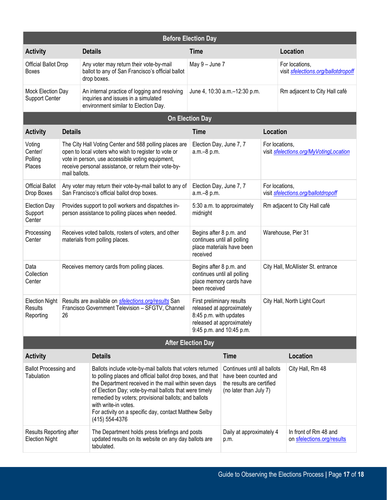| <b>Before Election Day</b>                       |                                                                                                                                                                                                                                              |                                                                                                                                                                                                                                                                                                                                                                                                       |                                                                                                                                           |                                                                                                             |                                                       |                                                          |  |
|--------------------------------------------------|----------------------------------------------------------------------------------------------------------------------------------------------------------------------------------------------------------------------------------------------|-------------------------------------------------------------------------------------------------------------------------------------------------------------------------------------------------------------------------------------------------------------------------------------------------------------------------------------------------------------------------------------------------------|-------------------------------------------------------------------------------------------------------------------------------------------|-------------------------------------------------------------------------------------------------------------|-------------------------------------------------------|----------------------------------------------------------|--|
| <b>Activity</b>                                  |                                                                                                                                                                                                                                              | <b>Details</b>                                                                                                                                                                                                                                                                                                                                                                                        | <b>Time</b>                                                                                                                               |                                                                                                             |                                                       | Location                                                 |  |
| Official Ballot Drop<br><b>Boxes</b>             |                                                                                                                                                                                                                                              | Any voter may return their vote-by-mail<br>ballot to any of San Francisco's official ballot<br>drop boxes.                                                                                                                                                                                                                                                                                            | May $9 -$ June $7$                                                                                                                        |                                                                                                             | For locations,<br>visit sfelections.org/ballotdropoff |                                                          |  |
| Mock Election Day<br><b>Support Center</b>       |                                                                                                                                                                                                                                              | An internal practice of logging and resolving<br>inquiries and issues in a simulated<br>environment similar to Election Day.                                                                                                                                                                                                                                                                          | June 4, 10:30 a.m. - 12:30 p.m.                                                                                                           |                                                                                                             | Rm adjacent to City Hall café                         |                                                          |  |
|                                                  |                                                                                                                                                                                                                                              |                                                                                                                                                                                                                                                                                                                                                                                                       | <b>On Election Day</b>                                                                                                                    |                                                                                                             |                                                       |                                                          |  |
| <b>Activity</b>                                  | <b>Details</b>                                                                                                                                                                                                                               |                                                                                                                                                                                                                                                                                                                                                                                                       | <b>Time</b>                                                                                                                               |                                                                                                             | Location                                              |                                                          |  |
| Voting<br>Center/<br>Polling<br>Places           | The City Hall Voting Center and 588 polling places are<br>open to local voters who wish to register to vote or<br>vote in person, use accessible voting equipment,<br>receive personal assistance, or return their vote-by-<br>mail ballots. |                                                                                                                                                                                                                                                                                                                                                                                                       |                                                                                                                                           | Election Day, June 7, 7<br>a.m.-8 p.m.                                                                      |                                                       | For locations,<br>visit sfelections.org/MyVotingLocation |  |
| <b>Official Ballot</b><br>Drop Boxes             | Any voter may return their vote-by-mail ballot to any of<br>San Francisco's official ballot drop boxes.                                                                                                                                      |                                                                                                                                                                                                                                                                                                                                                                                                       |                                                                                                                                           | Election Day, June 7, 7<br>a.m.-8 p.m.                                                                      |                                                       | For locations,<br>visit sfelections.org/ballotdropoff    |  |
| <b>Election Day</b><br>Support<br>Center         | Provides support to poll workers and dispatches in-<br>person assistance to polling places when needed.                                                                                                                                      |                                                                                                                                                                                                                                                                                                                                                                                                       | midnight                                                                                                                                  | 5:30 a.m. to approximately                                                                                  |                                                       | Rm adjacent to City Hall café                            |  |
| Processing<br>Center                             | Receives voted ballots, rosters of voters, and other<br>materials from polling places.                                                                                                                                                       |                                                                                                                                                                                                                                                                                                                                                                                                       | received                                                                                                                                  | Begins after 8 p.m. and<br>continues until all polling<br>place materials have been                         |                                                       | Warehouse, Pier 31                                       |  |
| Data<br>Collection<br>Center                     | Receives memory cards from polling places.                                                                                                                                                                                                   |                                                                                                                                                                                                                                                                                                                                                                                                       | Begins after 8 p.m. and<br>continues until all polling<br>place memory cards have<br>been received                                        |                                                                                                             |                                                       | City Hall, McAllister St. entrance                       |  |
| <b>Election Night</b><br>Results<br>Reporting    | Results are available on sfelections.org/results San<br>Francisco Government Television - SFGTV, Channel<br>26                                                                                                                               |                                                                                                                                                                                                                                                                                                                                                                                                       | First preliminary results<br>released at approximately<br>8:45 p.m. with updates<br>released at approximately<br>9:45 p.m. and 10:45 p.m. |                                                                                                             | City Hall, North Light Court                          |                                                          |  |
| <b>After Election Day</b>                        |                                                                                                                                                                                                                                              |                                                                                                                                                                                                                                                                                                                                                                                                       |                                                                                                                                           |                                                                                                             |                                                       |                                                          |  |
| <b>Activity</b>                                  |                                                                                                                                                                                                                                              | <b>Details</b>                                                                                                                                                                                                                                                                                                                                                                                        |                                                                                                                                           | <b>Time</b>                                                                                                 |                                                       | <b>Location</b>                                          |  |
| <b>Ballot Processing and</b><br>Tabulation       |                                                                                                                                                                                                                                              | Ballots include vote-by-mail ballots that voters returned<br>to polling places and official ballot drop boxes, and that<br>the Department received in the mail within seven days<br>of Election Day; vote-by-mail ballots that were timely<br>remedied by voters; provisional ballots; and ballots<br>with write-in votes.<br>For activity on a specific day, contact Matthew Selby<br>(415) 554-4376 |                                                                                                                                           | Continues until all ballots<br>have been counted and<br>the results are certified<br>(no later than July 7) |                                                       | City Hall, Rm 48                                         |  |
| Results Reporting after<br><b>Election Night</b> |                                                                                                                                                                                                                                              | The Department holds press briefings and posts<br>updated results on its website on any day ballots are<br>tabulated.                                                                                                                                                                                                                                                                                 | Daily at approximately 4<br>p.m.                                                                                                          |                                                                                                             |                                                       | In front of Rm 48 and<br>on sfelections.org/results      |  |